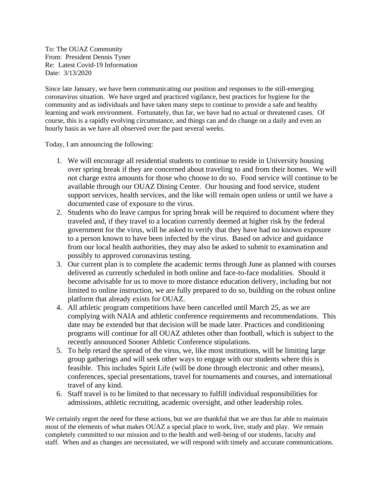To: The OUAZ Community From: President Dennis Tyner Re: Latest Covid-19 Information Date: 3/13/2020

Since late January, we have been communicating our position and responses to the still-emerging coronavirus situation. We have urged and practiced vigilance, best practices for hygiene for the community and as individuals and have taken many steps to continue to provide a safe and healthy learning and work environment. Fortunately, thus far, we have had no actual or threatened cases. Of course, this is a rapidly evolving circumstance, and things can and do change on a daily and even an hourly basis as we have all observed over the past several weeks.

Today, I am announcing the following:

- 1. We will encourage all residential students to continue to reside in University housing over spring break if they are concerned about traveling to and from their homes. We will not charge extra amounts for those who choose to do so. Food service will continue to be available through our OUAZ Dining Center. Our housing and food service, student support services, health services, and the like will remain open unless or until we have a documented case of exposure to the virus.
- 2. Students who do leave campus for spring break will be required to document where they traveled and, if they travel to a location currently deemed at higher risk by the federal government for the virus, will be asked to verify that they have had no known exposure to a person known to have been infected by the virus. Based on advice and guidance from our local health authorities, they may also be asked to submit to examination and possibly to approved coronavirus testing.
- 3. Our current plan is to complete the academic terms through June as planned with courses delivered as currently scheduled in both online and face-to-face modalities. Should it become advisable for us to move to more distance education delivery, including but not limited to online instruction, we are fully prepared to do so, building on the robust online platform that already exists for OUAZ.
- 4. All athletic program competitions have been cancelled until March 25, as we are complying with NAIA and athletic conference requirements and recommendations. This date may be extended but that decision will be made later. Practices and conditioning programs will continue for all OUAZ athletes other than football, which is subject to the recently announced Sooner Athletic Conference stipulations.
- 5. To help retard the spread of the virus, we, like most institutions, will be limiting large group gatherings and will seek other ways to engage with our students where this is feasible. This includes Spirit Life (will be done through electronic and other means), conferences, special presentations, travel for tournaments and courses, and international travel of any kind.
- 6. Staff travel is to be limited to that necessary to fulfill individual responsibilities for admissions, athletic recruiting, academic oversight, and other leadership roles.

We certainly regret the need for these actions, but we are thankful that we are thus far able to maintain most of the elements of what makes OUAZ a special place to work, live, study and play. We remain completely committed to our mission and to the health and well-being of our students, faculty and staff. When and as changes are necessitated, we will respond with timely and accurate communications.